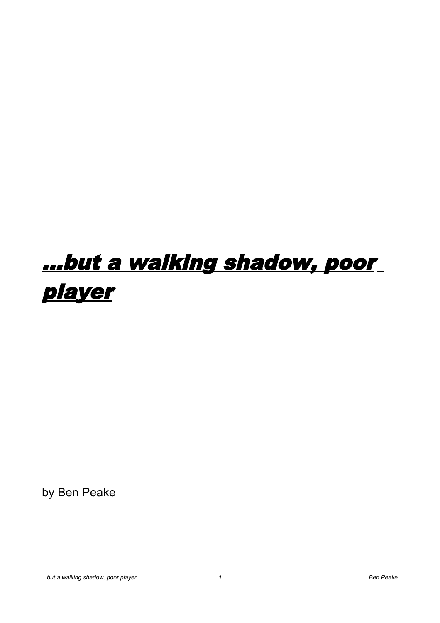## ...but a walking shadow, poor player

by Ben Peake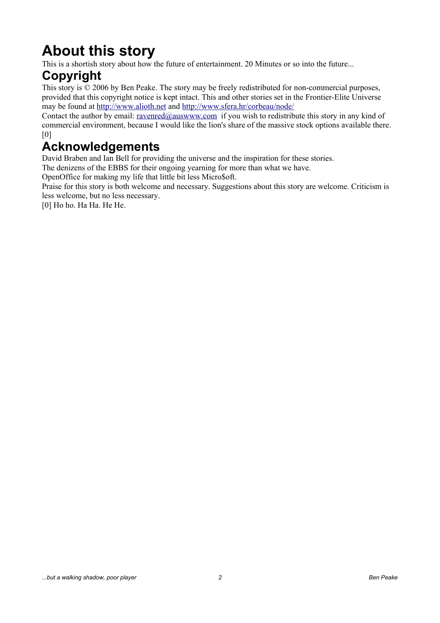## **About this story**

This is a shortish story about how the future of entertainment. 20 Minutes or so into the future...

## **Copyright**

This story is © 2006 by Ben Peake. The story may be freely redistributed for non-commercial purposes, provided that this copyright notice is kept intact. This and other stories set in the Frontier-Elite Universe may be found at [http://www.alioth.net](http://www.alioth.net/) and<http://www.sfera.hr/corbeau/node/>

Contact the author by email: [ravenred@auswww.com](mailto:ravenred@auswww.com) if you wish to redistribute this story in any kind of commercial environment, because I would like the lion's share of the massive stock options available there. [0]

## **Acknowledgements**

David Braben and Ian Bell for providing the universe and the inspiration for these stories.

The denizens of the EBBS for their ongoing yearning for more than what we have.

OpenOffice for making my life that little bit less Micro\$oft.

Praise for this story is both welcome and necessary. Suggestions about this story are welcome. Criticism is less welcome, but no less necessary.

[0] Ho ho. Ha Ha. He He.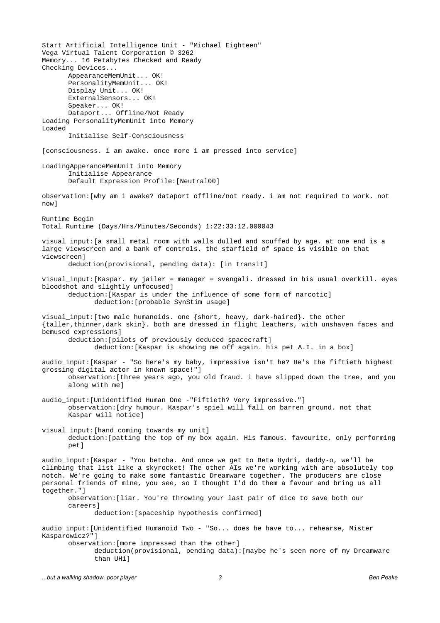Start Artificial Intelligence Unit - "Michael Eighteen" Vega Virtual Talent Corporation © 3262 Memory... 16 Petabytes Checked and Ready Checking Devices... AppearanceMemUnit... OK! PersonalityMemUnit... OK! Display Unit... OK! ExternalSensors... OK! Speaker... OK! Dataport... Offline/Not Ready Loading PersonalityMemUnit into Memory Loaded Initialise Self-Consciousness [consciousness. i am awake. once more i am pressed into service] LoadingApperanceMemUnit into Memory Initialise Appearance Default Expression Profile:[Neutral00] observation:[why am i awake? dataport offline/not ready. i am not required to work. not now] Runtime Begin Total Runtime (Days/Hrs/Minutes/Seconds) 1:22:33:12.000043 visual\_input:[a small metal room with walls dulled and scuffed by age. at one end is a large viewscreen and a bank of controls. the starfield of space is visible on that viewscreen] deduction(provisional, pending data): [in transit] visual\_input:[Kaspar. my jailer = manager = svengali. dressed in his usual overkill. eyes bloodshot and slightly unfocused] deduction:[Kaspar is under the influence of some form of narcotic] deduction:[probable SynStim usage] visual\_input:[two male humanoids. one {short, heavy, dark-haired}. the other {taller,thinner,dark skin}. both are dressed in flight leathers, with unshaven faces and bemused expressions] deduction:[pilots of previously deduced spacecraft] deduction:[Kaspar is showing me off again. his pet A.I. in a box] audio\_input:[Kaspar - "So here's my baby, impressive isn't he? He's the fiftieth highest grossing digital actor in known space!"] observation:[three years ago, you old fraud. i have slipped down the tree, and you along with me] audio\_input:[Unidentified Human One -"Fiftieth? Very impressive."] observation:[dry humour. Kaspar's spiel will fall on barren ground. not that Kaspar will notice] visual input: [hand coming towards my unit] deduction:[patting the top of my box again. His famous, favourite, only performing pet] audio\_input:[Kaspar - "You betcha. And once we get to Beta Hydri, daddy-o, we'll be climbing that list like a skyrocket! The other AIs we're working with are absolutely top notch. We're going to make some fantastic Dreamware together. The producers are close personal friends of mine, you see, so I thought I'd do them a favour and bring us all together."] observation:[liar. You're throwing your last pair of dice to save both our careers] deduction:[spaceship hypothesis confirmed] audio\_input:[Unidentified Humanoid Two - "So... does he have to... rehearse, Mister Kasparowicz?"] observation:[more impressed than the other] deduction(provisional, pending data):[maybe he's seen more of my Dreamware than UH1]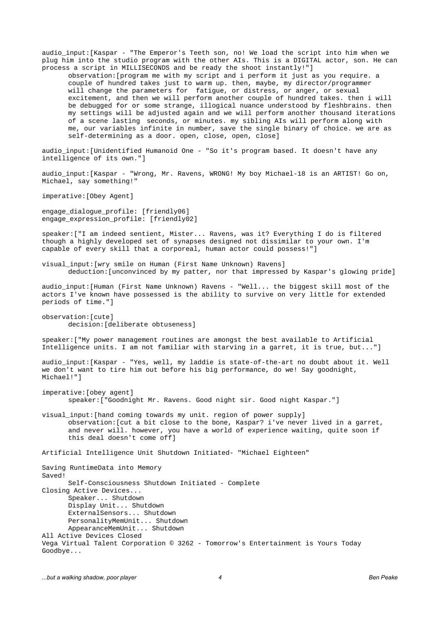audio\_input:[Kaspar - "The Emperor's Teeth son, no! We load the script into him when we plug him into the studio program with the other AIs. This is a DIGITAL actor, son. He can process a script in MILLISECONDS and be ready the shoot instantly!"]

observation:[program me with my script and i perform it just as you require. a couple of hundred takes just to warm up. then, maybe, my director/programmer will change the parameters for fatigue, or distress, or anger, or sexual excitement, and then we will perform another couple of hundred takes. then i will be debugged for or some strange, illogical nuance understood by fleshbrains. then my settings will be adjusted again and we will perform another thousand iterations of a scene lasting seconds, or minutes. my sibling AIs will perform along with me, our variables infinite in number, save the single binary of choice. we are as self-determining as a door. open, close, open, close]

audio input: [Unidentified Humanoid One - "So it's program based. It doesn't have any intelligence of its own."]

audio\_input:[Kaspar - "Wrong, Mr. Ravens, WRONG! My boy Michael-18 is an ARTIST! Go on, Michael, say something!"

imperative:[Obey Agent]

engage\_dialogue\_profile: [friendly06] engage\_expression\_profile: [friendly02]

speaker:["I am indeed sentient, Mister... Ravens, was it? Everything I do is filtered though a highly developed set of synapses designed not dissimilar to your own. I'm capable of every skill that a corporeal, human actor could possess!"]

visual\_input:[wry smile on Human (First Name Unknown) Ravens] deduction:[unconvinced by my patter, nor that impressed by Kaspar's glowing pride]

audio\_input:[Human (First Name Unknown) Ravens - "Well... the biggest skill most of the actors I've known have possessed is the ability to survive on very little for extended periods of time."]

observation:[cute] decision:[deliberate obtuseness]

speaker:["My power management routines are amongst the best available to Artificial Intelligence units. I am not familiar with starving in a garret, it is true, but..."]

audio\_input:[Kaspar - "Yes, well, my laddie is state-of-the-art no doubt about it. Well we don't want to tire him out before his big performance, do we! Say goodnight, Michael!"]

imperative:[obey agent] speaker:["Goodnight Mr. Ravens. Good night sir. Good night Kaspar."]

visual\_input:[hand coming towards my unit. region of power supply] observation:[cut a bit close to the bone, Kaspar? i've never lived in a garret, and never will. however, you have a world of experience waiting, quite soon if this deal doesn't come off]

Artificial Intelligence Unit Shutdown Initiated- "Michael Eighteen"

Saving RuntimeData into Memory Saved! Self-Consciousness Shutdown Initiated - Complete Closing Active Devices... Speaker... Shutdown Display Unit... Shutdown ExternalSensors... Shutdown PersonalityMemUnit... Shutdown AppearanceMemUnit... Shutdown All Active Devices Closed Vega Virtual Talent Corporation © 3262 - Tomorrow's Entertainment is Yours Today Goodbye...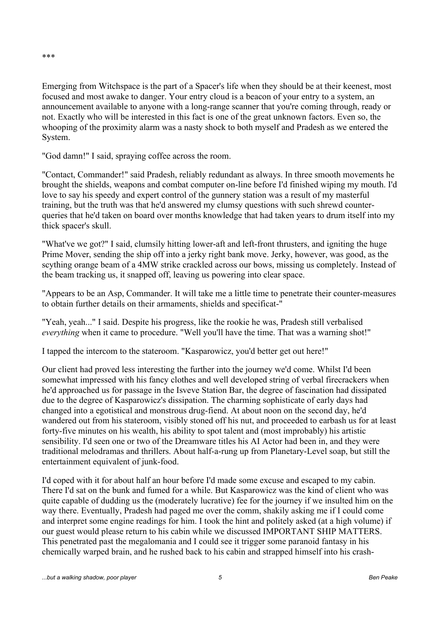\*\*\*

Emerging from Witchspace is the part of a Spacer's life when they should be at their keenest, most focused and most awake to danger. Your entry cloud is a beacon of your entry to a system, an announcement available to anyone with a long-range scanner that you're coming through, ready or not. Exactly who will be interested in this fact is one of the great unknown factors. Even so, the whooping of the proximity alarm was a nasty shock to both myself and Pradesh as we entered the System.

"God damn!" I said, spraying coffee across the room.

"Contact, Commander!" said Pradesh, reliably redundant as always. In three smooth movements he brought the shields, weapons and combat computer on-line before I'd finished wiping my mouth. I'd love to say his speedy and expert control of the gunnery station was a result of my masterful training, but the truth was that he'd answered my clumsy questions with such shrewd counterqueries that he'd taken on board over months knowledge that had taken years to drum itself into my thick spacer's skull.

"What've we got?" I said, clumsily hitting lower-aft and left-front thrusters, and igniting the huge Prime Mover, sending the ship off into a jerky right bank move. Jerky, however, was good, as the scything orange beam of a 4MW strike crackled across our bows, missing us completely. Instead of the beam tracking us, it snapped off, leaving us powering into clear space.

"Appears to be an Asp, Commander. It will take me a little time to penetrate their counter-measures to obtain further details on their armaments, shields and specificat-"

"Yeah, yeah..." I said. Despite his progress, like the rookie he was, Pradesh still verbalised *everything* when it came to procedure. "Well you'll have the time. That was a warning shot!"

I tapped the intercom to the stateroom. "Kasparowicz, you'd better get out here!"

Our client had proved less interesting the further into the journey we'd come. Whilst I'd been somewhat impressed with his fancy clothes and well developed string of verbal firecrackers when he'd approached us for passage in the Isveve Station Bar, the degree of fascination had dissipated due to the degree of Kasparowicz's dissipation. The charming sophisticate of early days had changed into a egotistical and monstrous drug-fiend. At about noon on the second day, he'd wandered out from his stateroom, visibly stoned off his nut, and proceeded to earbash us for at least forty-five minutes on his wealth, his ability to spot talent and (most improbably) his artistic sensibility. I'd seen one or two of the Dreamware titles his AI Actor had been in, and they were traditional melodramas and thrillers. About half-a-rung up from Planetary-Level soap, but still the entertainment equivalent of junk-food.

I'd coped with it for about half an hour before I'd made some excuse and escaped to my cabin. There I'd sat on the bunk and fumed for a while. But Kasparowicz was the kind of client who was quite capable of dudding us the (moderately lucrative) fee for the journey if we insulted him on the way there. Eventually, Pradesh had paged me over the comm, shakily asking me if I could come and interpret some engine readings for him. I took the hint and politely asked (at a high volume) if our guest would please return to his cabin while we discussed IMPORTANT SHIP MATTERS. This penetrated past the megalomania and I could see it trigger some paranoid fantasy in his chemically warped brain, and he rushed back to his cabin and strapped himself into his crash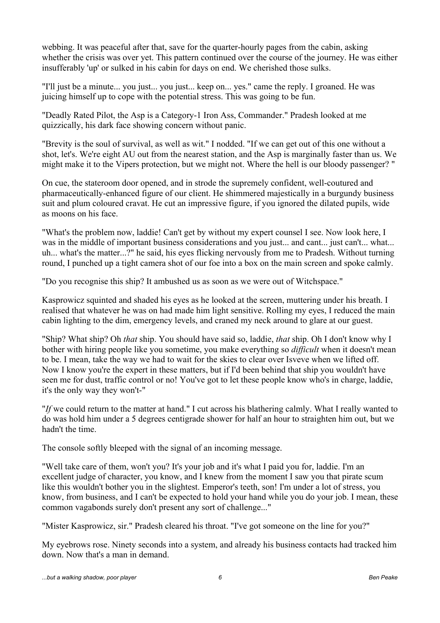webbing. It was peaceful after that, save for the quarter-hourly pages from the cabin, asking whether the crisis was over yet. This pattern continued over the course of the journey. He was either insufferably 'up' or sulked in his cabin for days on end. We cherished those sulks.

"I'll just be a minute... you just... you just... keep on... yes." came the reply. I groaned. He was juicing himself up to cope with the potential stress. This was going to be fun.

"Deadly Rated Pilot, the Asp is a Category-1 Iron Ass, Commander." Pradesh looked at me quizzically, his dark face showing concern without panic.

"Brevity is the soul of survival, as well as wit." I nodded. "If we can get out of this one without a shot, let's. We're eight AU out from the nearest station, and the Asp is marginally faster than us. We might make it to the Vipers protection, but we might not. Where the hell is our bloody passenger? "

On cue, the stateroom door opened, and in strode the supremely confident, well-coutured and pharmaceutically-enhanced figure of our client. He shimmered majestically in a burgundy business suit and plum coloured cravat. He cut an impressive figure, if you ignored the dilated pupils, wide as moons on his face.

"What's the problem now, laddie! Can't get by without my expert counsel I see. Now look here, I was in the middle of important business considerations and you just... and cant... just can't... what... uh... what's the matter...?" he said, his eyes flicking nervously from me to Pradesh. Without turning round, I punched up a tight camera shot of our foe into a box on the main screen and spoke calmly.

"Do you recognise this ship? It ambushed us as soon as we were out of Witchspace."

Kasprowicz squinted and shaded his eyes as he looked at the screen, muttering under his breath. I realised that whatever he was on had made him light sensitive. Rolling my eyes, I reduced the main cabin lighting to the dim, emergency levels, and craned my neck around to glare at our guest.

"Ship? What ship? Oh *that* ship. You should have said so, laddie, *that* ship. Oh I don't know why I bother with hiring people like you sometime, you make everything so *difficult* when it doesn't mean to be. I mean, take the way we had to wait for the skies to clear over Isveve when we lifted off. Now I know you're the expert in these matters, but if I'd been behind that ship you wouldn't have seen me for dust, traffic control or no! You've got to let these people know who's in charge, laddie, it's the only way they won't-"

"*If* we could return to the matter at hand." I cut across his blathering calmly. What I really wanted to do was hold him under a 5 degrees centigrade shower for half an hour to straighten him out, but we hadn't the time.

The console softly bleeped with the signal of an incoming message.

"Well take care of them, won't you? It's your job and it's what I paid you for, laddie. I'm an excellent judge of character, you know, and I knew from the moment I saw you that pirate scum like this wouldn't bother you in the slightest. Emperor's teeth, son! I'm under a lot of stress, you know, from business, and I can't be expected to hold your hand while you do your job. I mean, these common vagabonds surely don't present any sort of challenge..."

"Mister Kasprowicz, sir." Pradesh cleared his throat. "I've got someone on the line for you?"

My eyebrows rose. Ninety seconds into a system, and already his business contacts had tracked him down. Now that's a man in demand.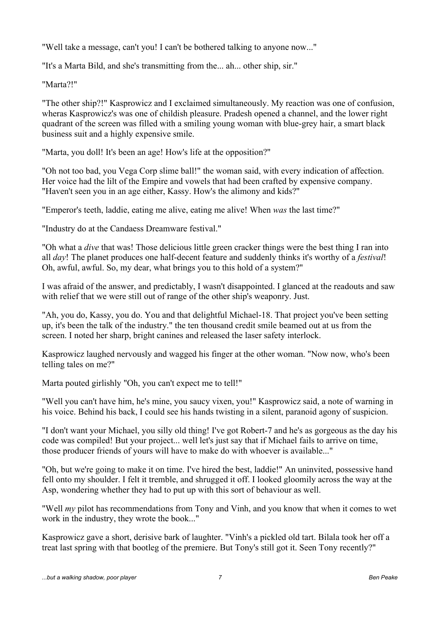"Well take a message, can't you! I can't be bothered talking to anyone now..."

"It's a Marta Bild, and she's transmitting from the... ah... other ship, sir."

"Marta?!"

"The other ship?!" Kasprowicz and I exclaimed simultaneously. My reaction was one of confusion, wheras Kasprowicz's was one of childish pleasure. Pradesh opened a channel, and the lower right quadrant of the screen was filled with a smiling young woman with blue-grey hair, a smart black business suit and a highly expensive smile.

"Marta, you doll! It's been an age! How's life at the opposition?"

"Oh not too bad, you Vega Corp slime ball!" the woman said, with every indication of affection. Her voice had the lilt of the Empire and vowels that had been crafted by expensive company. "Haven't seen you in an age either, Kassy. How's the alimony and kids?"

"Emperor's teeth, laddie, eating me alive, eating me alive! When *was* the last time?"

"Industry do at the Candaess Dreamware festival."

"Oh what a *dive* that was! Those delicious little green cracker things were the best thing I ran into all *day*! The planet produces one half-decent feature and suddenly thinks it's worthy of a *festival*! Oh, awful, awful. So, my dear, what brings you to this hold of a system?"

I was afraid of the answer, and predictably, I wasn't disappointed. I glanced at the readouts and saw with relief that we were still out of range of the other ship's weaponry. Just.

"Ah, you do, Kassy, you do. You and that delightful Michael-18. That project you've been setting up, it's been the talk of the industry." the ten thousand credit smile beamed out at us from the screen. I noted her sharp, bright canines and released the laser safety interlock.

Kasprowicz laughed nervously and wagged his finger at the other woman. "Now now, who's been telling tales on me?"

Marta pouted girlishly "Oh, you can't expect me to tell!"

"Well you can't have him, he's mine, you saucy vixen, you!" Kasprowicz said, a note of warning in his voice. Behind his back, I could see his hands twisting in a silent, paranoid agony of suspicion.

"I don't want your Michael, you silly old thing! I've got Robert-7 and he's as gorgeous as the day his code was compiled! But your project... well let's just say that if Michael fails to arrive on time, those producer friends of yours will have to make do with whoever is available..."

"Oh, but we're going to make it on time. I've hired the best, laddie!" An uninvited, possessive hand fell onto my shoulder. I felt it tremble, and shrugged it off. I looked gloomily across the way at the Asp, wondering whether they had to put up with this sort of behaviour as well.

"Well *my* pilot has recommendations from Tony and Vinh, and you know that when it comes to wet work in the industry, they wrote the book..."

Kasprowicz gave a short, derisive bark of laughter. "Vinh's a pickled old tart. Bilala took her off a treat last spring with that bootleg of the premiere. But Tony's still got it. Seen Tony recently?"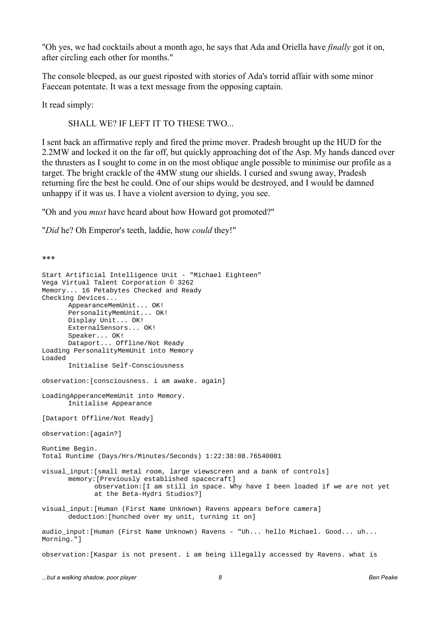"Oh yes, we had cocktails about a month ago, he says that Ada and Oriella have *finally* got it on, after circling each other for months."

The console bleeped, as our guest riposted with stories of Ada's torrid affair with some minor Faecean potentate. It was a text message from the opposing captain.

It read simply:

\*\*\*

SHALL WE? IF LEFT IT TO THESE TWO...

I sent back an affirmative reply and fired the prime mover. Pradesh brought up the HUD for the 2.2MW and locked it on the far off, but quickly approaching dot of the Asp. My hands danced over the thrusters as I sought to come in on the most oblique angle possible to minimise our profile as a target. The bright crackle of the 4MW stung our shields. I cursed and swung away, Pradesh returning fire the best he could. One of our ships would be destroyed, and I would be damned unhappy if it was us. I have a violent aversion to dying, you see.

"Oh and you *must* have heard about how Howard got promoted?"

"*Did* he? Oh Emperor's teeth, laddie, how *could* they!"

Start Artificial Intelligence Unit - "Michael Eighteen" Vega Virtual Talent Corporation © 3262 Memory... 16 Petabytes Checked and Ready Checking Devices... AppearanceMemUnit... OK! PersonalityMemUnit... OK! Display Unit... OK! ExternalSensors... OK! Speaker... OK! Dataport... Offline/Not Ready Loading PersonalityMemUnit into Memory Loaded Initialise Self-Consciousness observation:[consciousness. i am awake. again] LoadingApperanceMemUnit into Memory. Initialise Appearance [Dataport Offline/Not Ready] observation:[again?] Runtime Begin. Total Runtime (Days/Hrs/Minutes/Seconds) 1:22:38:08.76540001 visual\_input:[small metal room, large viewscreen and a bank of controls] memory:[Previously established spacecraft] observation:[I am still in space. Why have I been loaded if we are not yet at the Beta-Hydri Studios?] visual\_input:[Human (First Name Unknown) Ravens appears before camera] deduction:[hunched over my unit, turning it on] audio input:[Human (First Name Unknown) Ravens - "Uh... hello Michael. Good... uh... Morning."] observation:[Kaspar is not present. i am being illegally accessed by Ravens. what is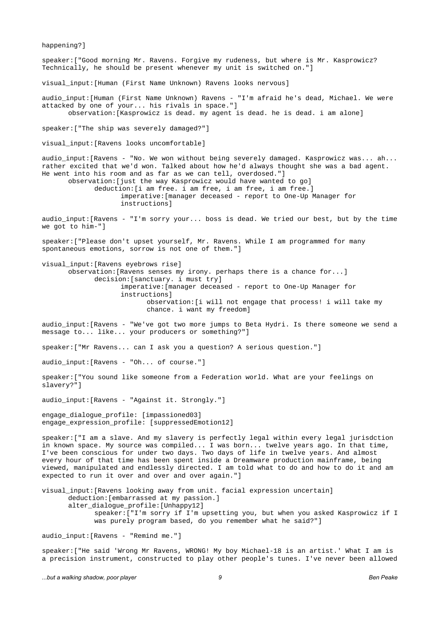happening?] speaker:["Good morning Mr. Ravens. Forgive my rudeness, but where is Mr. Kasprowicz? Technically, he should be present whenever my unit is switched on."] visual\_input:[Human (First Name Unknown) Ravens looks nervous] audio\_input:[Human (First Name Unknown) Ravens - "I'm afraid he's dead, Michael. We were attacked by one of your... his rivals in space."] observation:[Kasprowicz is dead. my agent is dead. he is dead. i am alone] speaker:["The ship was severely damaged?"] visual input: [Ravens looks uncomfortable] audio\_input:[Ravens - "No. We won without being severely damaged. Kasprowicz was... ah... rather excited that we'd won. Talked about how he'd always thought she was a bad agent. He went into his room and as far as we can tell, overdosed."] observation:[just the way Kasprowicz would have wanted to go] deduction:[i am free. i am free, i am free, i am free.] imperative:[manager deceased - report to One-Up Manager for instructions] audio\_input:[Ravens - "I'm sorry your... boss is dead. We tried our best, but by the time we got to him-"] speaker:["Please don't upset yourself, Mr. Ravens. While I am programmed for many spontaneous emotions, sorrow is not one of them."] visual\_input:[Ravens eyebrows rise] observation:[Ravens senses my irony. perhaps there is a chance for...] decision:[sanctuary. i must try]

imperative:[manager deceased - report to One-Up Manager for instructions] observation:[i will not engage that process! i will take my chance. i want my freedom]

audio\_input:[Ravens - "We've got two more jumps to Beta Hydri. Is there someone we send a message to... like... your producers or something?"]

speaker:["Mr Ravens... can I ask you a question? A serious question."]

audio\_input:[Ravens - "Oh... of course."]

speaker:["You sound like someone from a Federation world. What are your feelings on slavery?"]

audio\_input:[Ravens - "Against it. Strongly."]

engage\_dialogue\_profile: [impassioned03] engage\_expression\_profile: [suppressedEmotion12]

speaker:["I am a slave. And my slavery is perfectly legal within every legal jurisdction in known space. My source was compiled... I was born... twelve years ago. In that time, I've been conscious for under two days. Two days of life in twelve years. And almost every hour of that time has been spent inside a Dreamware production mainframe, being viewed, manipulated and endlessly directed. I am told what to do and how to do it and am expected to run it over and over and over again."]

visual\_input:[Ravens looking away from unit. facial expression uncertain] deduction:[embarrassed at my passion.] alter\_dialogue\_profile:[Unhappy12] speaker:["I'm sorry if I'm upsetting you, but when you asked Kasprowicz if I was purely program based, do you remember what he said?"]

audio\_input:[Ravens - "Remind me."]

speaker:["He said 'Wrong Mr Ravens, WRONG! My boy Michael-18 is an artist.' What I am is a precision instrument, constructed to play other people's tunes. I've never been allowed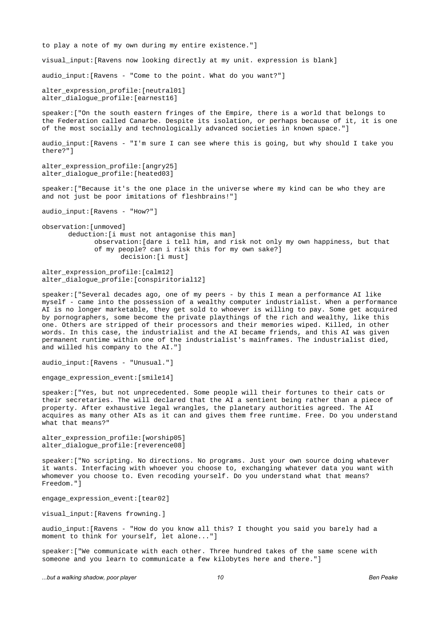to play a note of my own during my entire existence."] visual\_input:[Ravens now looking directly at my unit. expression is blank] audio\_input:[Ravens - "Come to the point. What do you want?"] alter\_expression\_profile:[neutral01] alter\_dialogue\_profile:[earnest16] speaker:["On the south eastern fringes of the Empire, there is a world that belongs to the Federation called Canarbe. Despite its isolation, or perhaps because of it, it is one of the most socially and technologically advanced societies in known space."] audio input: [Ravens - "I'm sure I can see where this is going, but why should I take you there?"] alter\_expression\_profile:[angry25] alter\_dialogue\_profile:[heated03] speaker:["Because it's the one place in the universe where my kind can be who they are and not just be poor imitations of fleshbrains!"] audio\_input:[Ravens - "How?"] observation:[unmoved]

deduction:[i must not antagonise this man] observation:[dare i tell him, and risk not only my own happiness, but that of my people? can i risk this for my own sake?] decision:[i must]

alter expression profile: [calm12] alter\_dialogue\_profile:[conspiritorial12]

speaker:["Several decades ago, one of my peers - by this I mean a performance AI like myself - came into the possession of a wealthy computer industrialist. When a performance AI is no longer marketable, they get sold to whoever is willing to pay. Some get acquired by pornographers, some become the private playthings of the rich and wealthy, like this one. Others are stripped of their processors and their memories wiped. Killed, in other words. In this case, the industrialist and the AI became friends, and this AI was given permanent runtime within one of the industrialist's mainframes. The industrialist died, and willed his company to the AI."]

audio\_input:[Ravens - "Unusual."]

engage\_expression\_event:[smile14]

speaker:["Yes, but not unprecedented. Some people will their fortunes to their cats or their secretaries. The will declared that the AI a sentient being rather than a piece of property. After exhaustive legal wrangles, the planetary authorities agreed. The AI acquires as many other AIs as it can and gives them free runtime. Free. Do you understand what that means?'

alter\_expression\_profile:[worship05] alter\_dialogue\_profile:[reverence08]

speaker:["No scripting. No directions. No programs. Just your own source doing whatever it wants. Interfacing with whoever you choose to, exchanging whatever data you want with whomever you choose to. Even recoding yourself. Do you understand what that means? Freedom."]

engage\_expression\_event:[tear02]

visual\_input:[Ravens frowning.]

audio\_input:[Ravens - "How do you know all this? I thought you said you barely had a moment to think for yourself, let alone..."]

speaker:["We communicate with each other. Three hundred takes of the same scene with someone and you learn to communicate a few kilobytes here and there."]

*...but a walking shadow, poor player 10 Ben Peake*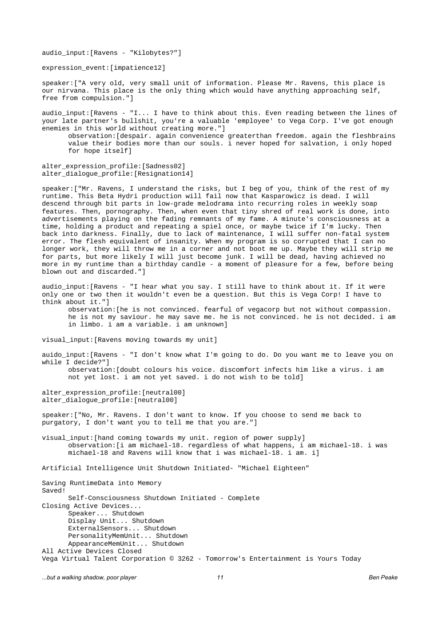audio\_input:[Ravens - "Kilobytes?"]

expression\_event:[impatience12]

speaker:["A very old, very small unit of information. Please Mr. Ravens, this place is our nirvana. This place is the only thing which would have anything approaching self, free from compulsion."]

audio\_input:[Ravens - "I... I have to think about this. Even reading between the lines of your late partner's bullshit, you're a valuable 'employee' to Vega Corp. I've got enough enemies in this world without creating more."]

observation:[despair. again convenience greaterthan freedom. again the fleshbrains value their bodies more than our souls. i never hoped for salvation, i only hoped for hope itself]

alter\_expression\_profile:[Sadness02] alter\_dialogue\_profile:[Resignation14]

speaker:["Mr. Ravens, I understand the risks, but I beg of you, think of the rest of my runtime. This Beta Hydri production will fail now that Kasparowicz is dead. I will descend through bit parts in low-grade melodrama into recurring roles in weekly soap features. Then, pornography. Then, when even that tiny shred of real work is done, into advertisements playing on the fading remnants of my fame. A minute's consciousness at a time, holding a product and repeating a spiel once, or maybe twice if I'm lucky. Then back into darkness. Finally, due to lack of maintenance, I will suffer non-fatal system error. The flesh equivalent of insanity. When my program is so corrupted that I can no longer work, they will throw me in a corner and not boot me up. Maybe they will strip me for parts, but more likely I will just become junk. I will be dead, having achieved no more in my runtime than a birthday candle - a moment of pleasure for a few, before being blown out and discarded."]

audio\_input:[Ravens - "I hear what you say. I still have to think about it. If it were only one or two then it wouldn't even be a question. But this is Vega Corp! I have to think about it."] observation:[he is not convinced. fearful of vegacorp but not without compassion. he is not my saviour. he may save me. he is not convinced. he is not decided. i am

in limbo. i am a variable. i am unknown]

visual\_input:[Ravens moving towards my unit]

auido\_input:[Ravens - "I don't know what I'm going to do. Do you want me to leave you on while I decide?"] observation:[doubt colours his voice. discomfort infects him like a virus. i am not yet lost. i am not yet saved. i do not wish to be told]

alter\_expression\_profile:[neutral00] alter\_dialogue\_profile:[neutral00]

speaker:["No, Mr. Ravens. I don't want to know. If you choose to send me back to purgatory, I don't want you to tell me that you are."]

visual\_input:[hand coming towards my unit. region of power supply] observation:[i am michael-18. regardless of what happens, i am michael-18. i was michael-18 and Ravens will know that i was michael-18. i am. i]

Artificial Intelligence Unit Shutdown Initiated- "Michael Eighteen"

Saving RuntimeData into Memory Saved! Self-Consciousness Shutdown Initiated - Complete Closing Active Devices... Speaker... Shutdown Display Unit... Shutdown ExternalSensors... Shutdown PersonalityMemUnit... Shutdown AppearanceMemUnit... Shutdown All Active Devices Closed Vega Virtual Talent Corporation © 3262 - Tomorrow's Entertainment is Yours Today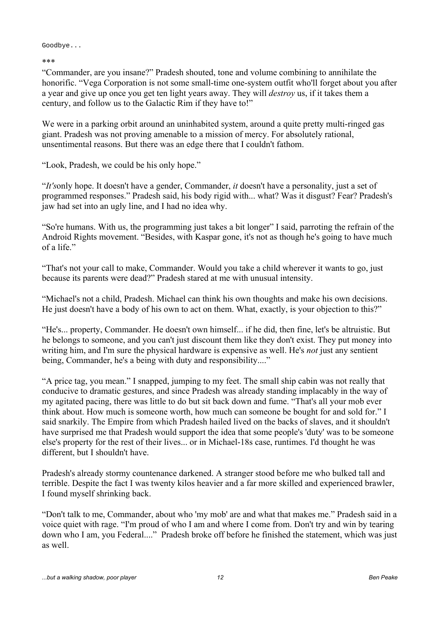Goodbye...

\*\*\*

"Commander, are you insane?" Pradesh shouted, tone and volume combining to annihilate the honorific. "Vega Corporation is not some small-time one-system outfit who'll forget about you after a year and give up once you get ten light years away. They will *destroy* us, if it takes them a century, and follow us to the Galactic Rim if they have to!"

We were in a parking orbit around an uninhabited system, around a quite pretty multi-ringed gas giant. Pradesh was not proving amenable to a mission of mercy. For absolutely rational, unsentimental reasons. But there was an edge there that I couldn't fathom.

"Look, Pradesh, we could be his only hope."

"*It's*only hope. It doesn't have a gender, Commander, *it* doesn't have a personality, just a set of programmed responses." Pradesh said, his body rigid with... what? Was it disgust? Fear? Pradesh's jaw had set into an ugly line, and I had no idea why.

"So're humans. With us, the programming just takes a bit longer" I said, parroting the refrain of the Android Rights movement. "Besides, with Kaspar gone, it's not as though he's going to have much of a life."

"That's not your call to make, Commander. Would you take a child wherever it wants to go, just because its parents were dead?" Pradesh stared at me with unusual intensity.

"Michael's not a child, Pradesh. Michael can think his own thoughts and make his own decisions. He just doesn't have a body of his own to act on them. What, exactly, is your objection to this?"

"He's... property, Commander. He doesn't own himself... if he did, then fine, let's be altruistic. But he belongs to someone, and you can't just discount them like they don't exist. They put money into writing him, and I'm sure the physical hardware is expensive as well. He's *not* just any sentient being, Commander, he's a being with duty and responsibility...."

"A price tag, you mean." I snapped, jumping to my feet. The small ship cabin was not really that conducive to dramatic gestures, and since Pradesh was already standing implacably in the way of my agitated pacing, there was little to do but sit back down and fume. "That's all your mob ever think about. How much is someone worth, how much can someone be bought for and sold for." I said snarkily. The Empire from which Pradesh hailed lived on the backs of slaves, and it shouldn't have surprised me that Pradesh would support the idea that some people's 'duty' was to be someone else's property for the rest of their lives... or in Michael-18s case, runtimes. I'd thought he was different, but I shouldn't have.

Pradesh's already stormy countenance darkened. A stranger stood before me who bulked tall and terrible. Despite the fact I was twenty kilos heavier and a far more skilled and experienced brawler, I found myself shrinking back.

"Don't talk to me, Commander, about who 'my mob' are and what that makes me." Pradesh said in a voice quiet with rage. "I'm proud of who I am and where I come from. Don't try and win by tearing down who I am, you Federal...." Pradesh broke off before he finished the statement, which was just as well.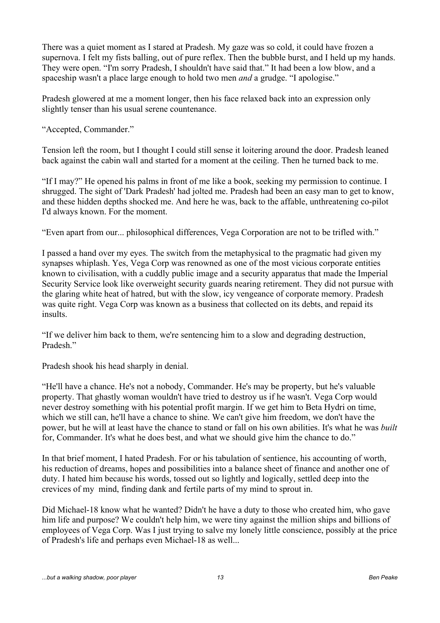There was a quiet moment as I stared at Pradesh. My gaze was so cold, it could have frozen a supernova. I felt my fists balling, out of pure reflex. Then the bubble burst, and I held up my hands. They were open. "I'm sorry Pradesh, I shouldn't have said that." It had been a low blow, and a spaceship wasn't a place large enough to hold two men *and* a grudge. "I apologise."

Pradesh glowered at me a moment longer, then his face relaxed back into an expression only slightly tenser than his usual serene countenance.

"Accepted, Commander."

Tension left the room, but I thought I could still sense it loitering around the door. Pradesh leaned back against the cabin wall and started for a moment at the ceiling. Then he turned back to me.

"If I may?" He opened his palms in front of me like a book, seeking my permission to continue. I shrugged. The sight of 'Dark Pradesh' had jolted me. Pradesh had been an easy man to get to know, and these hidden depths shocked me. And here he was, back to the affable, unthreatening co-pilot I'd always known. For the moment.

"Even apart from our... philosophical differences, Vega Corporation are not to be trifled with."

I passed a hand over my eyes. The switch from the metaphysical to the pragmatic had given my synapses whiplash. Yes, Vega Corp was renowned as one of the most vicious corporate entities known to civilisation, with a cuddly public image and a security apparatus that made the Imperial Security Service look like overweight security guards nearing retirement. They did not pursue with the glaring white heat of hatred, but with the slow, icy vengeance of corporate memory. Pradesh was quite right. Vega Corp was known as a business that collected on its debts, and repaid its insults.

"If we deliver him back to them, we're sentencing him to a slow and degrading destruction, Pradesh"

Pradesh shook his head sharply in denial.

"He'll have a chance. He's not a nobody, Commander. He's may be property, but he's valuable property. That ghastly woman wouldn't have tried to destroy us if he wasn't. Vega Corp would never destroy something with his potential profit margin. If we get him to Beta Hydri on time, which we still can, he'll have a chance to shine. We can't give him freedom, we don't have the power, but he will at least have the chance to stand or fall on his own abilities. It's what he was *built* for, Commander. It's what he does best, and what we should give him the chance to do."

In that brief moment, I hated Pradesh. For or his tabulation of sentience, his accounting of worth, his reduction of dreams, hopes and possibilities into a balance sheet of finance and another one of duty. I hated him because his words, tossed out so lightly and logically, settled deep into the crevices of my mind, finding dank and fertile parts of my mind to sprout in.

Did Michael-18 know what he wanted? Didn't he have a duty to those who created him, who gave him life and purpose? We couldn't help him, we were tiny against the million ships and billions of employees of Vega Corp. Was I just trying to salve my lonely little conscience, possibly at the price of Pradesh's life and perhaps even Michael-18 as well...

*...but a walking shadow, poor player 13 Ben Peake*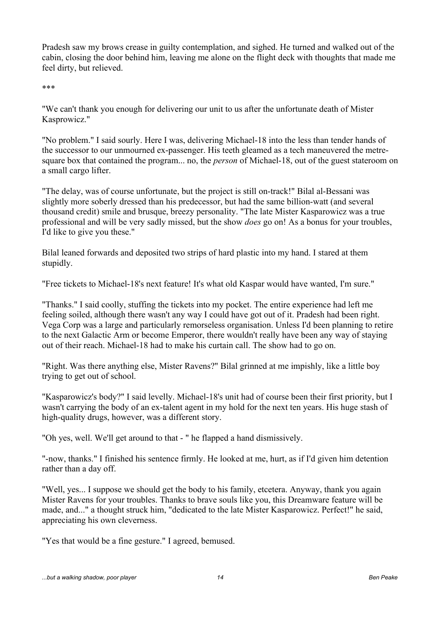Pradesh saw my brows crease in guilty contemplation, and sighed. He turned and walked out of the cabin, closing the door behind him, leaving me alone on the flight deck with thoughts that made me feel dirty, but relieved.

\*\*\*

"We can't thank you enough for delivering our unit to us after the unfortunate death of Mister Kasprowicz."

"No problem." I said sourly. Here I was, delivering Michael-18 into the less than tender hands of the successor to our unmourned ex-passenger. His teeth gleamed as a tech maneuvered the metresquare box that contained the program... no, the *person* of Michael-18, out of the guest stateroom on a small cargo lifter.

"The delay, was of course unfortunate, but the project is still on-track!" Bilal al-Bessani was slightly more soberly dressed than his predecessor, but had the same billion-watt (and several thousand credit) smile and brusque, breezy personality. "The late Mister Kasparowicz was a true professional and will be very sadly missed, but the show *does* go on! As a bonus for your troubles, I'd like to give you these."

Bilal leaned forwards and deposited two strips of hard plastic into my hand. I stared at them stupidly.

"Free tickets to Michael-18's next feature! It's what old Kaspar would have wanted, I'm sure."

"Thanks." I said coolly, stuffing the tickets into my pocket. The entire experience had left me feeling soiled, although there wasn't any way I could have got out of it. Pradesh had been right. Vega Corp was a large and particularly remorseless organisation. Unless I'd been planning to retire to the next Galactic Arm or become Emperor, there wouldn't really have been any way of staying out of their reach. Michael-18 had to make his curtain call. The show had to go on.

"Right. Was there anything else, Mister Ravens?" Bilal grinned at me impishly, like a little boy trying to get out of school.

"Kasparowicz's body?" I said levelly. Michael-18's unit had of course been their first priority, but I wasn't carrying the body of an ex-talent agent in my hold for the next ten years. His huge stash of high-quality drugs, however, was a different story.

"Oh yes, well. We'll get around to that - " he flapped a hand dismissively.

"-now, thanks." I finished his sentence firmly. He looked at me, hurt, as if I'd given him detention rather than a day off.

"Well, yes... I suppose we should get the body to his family, etcetera. Anyway, thank you again Mister Ravens for your troubles. Thanks to brave souls like you, this Dreamware feature will be made, and..." a thought struck him, "dedicated to the late Mister Kasparowicz. Perfect!" he said, appreciating his own cleverness.

"Yes that would be a fine gesture." I agreed, bemused.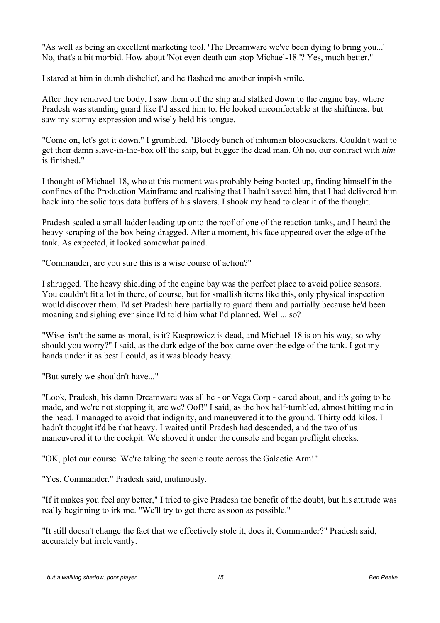"As well as being an excellent marketing tool. 'The Dreamware we've been dying to bring you...' No, that's a bit morbid. How about 'Not even death can stop Michael-18.'? Yes, much better."

I stared at him in dumb disbelief, and he flashed me another impish smile.

After they removed the body, I saw them off the ship and stalked down to the engine bay, where Pradesh was standing guard like I'd asked him to. He looked uncomfortable at the shiftiness, but saw my stormy expression and wisely held his tongue.

"Come on, let's get it down." I grumbled. "Bloody bunch of inhuman bloodsuckers. Couldn't wait to get their damn slave-in-the-box off the ship, but bugger the dead man. Oh no, our contract with *him* is finished."

I thought of Michael-18, who at this moment was probably being booted up, finding himself in the confines of the Production Mainframe and realising that I hadn't saved him, that I had delivered him back into the solicitous data buffers of his slavers. I shook my head to clear it of the thought.

Pradesh scaled a small ladder leading up onto the roof of one of the reaction tanks, and I heard the heavy scraping of the box being dragged. After a moment, his face appeared over the edge of the tank. As expected, it looked somewhat pained.

"Commander, are you sure this is a wise course of action?"

I shrugged. The heavy shielding of the engine bay was the perfect place to avoid police sensors. You couldn't fit a lot in there, of course, but for smallish items like this, only physical inspection would discover them. I'd set Pradesh here partially to guard them and partially because he'd been moaning and sighing ever since I'd told him what I'd planned. Well... so?

"Wise isn't the same as moral, is it? Kasprowicz is dead, and Michael-18 is on his way, so why should you worry?" I said, as the dark edge of the box came over the edge of the tank. I got my hands under it as best I could, as it was bloody heavy.

"But surely we shouldn't have..."

"Look, Pradesh, his damn Dreamware was all he - or Vega Corp - cared about, and it's going to be made, and we're not stopping it, are we? Oof!" I said, as the box half-tumbled, almost hitting me in the head. I managed to avoid that indignity, and maneuvered it to the ground. Thirty odd kilos. I hadn't thought it'd be that heavy. I waited until Pradesh had descended, and the two of us maneuvered it to the cockpit. We shoved it under the console and began preflight checks.

"OK, plot our course. We're taking the scenic route across the Galactic Arm!"

"Yes, Commander." Pradesh said, mutinously.

"If it makes you feel any better," I tried to give Pradesh the benefit of the doubt, but his attitude was really beginning to irk me. "We'll try to get there as soon as possible."

"It still doesn't change the fact that we effectively stole it, does it, Commander?" Pradesh said, accurately but irrelevantly.

*...but a walking shadow, poor player 15 Ben Peake*